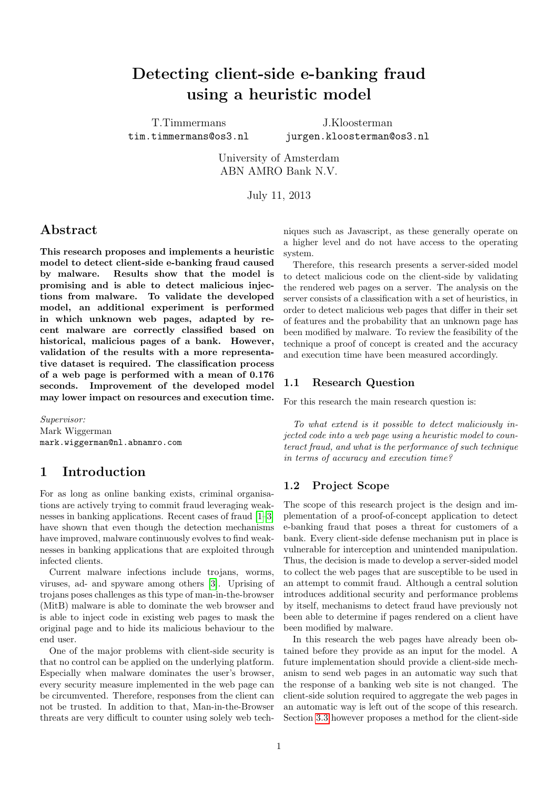# Detecting client-side e-banking fraud using a heuristic model

T.Timmermans tim.timmermans@os3.nl

J.Kloosterman jurgen.kloosterman@os3.nl

University of Amsterdam ABN AMRO Bank N.V.

July 11, 2013

### Abstract

This research proposes and implements a heuristic model to detect client-side e-banking fraud caused by malware. Results show that the model is promising and is able to detect malicious injections from malware. To validate the developed model, an additional experiment is performed in which unknown web pages, adapted by recent malware are correctly classified based on historical, malicious pages of a bank. However, validation of the results with a more representative dataset is required. The classification process of a web page is performed with a mean of 0.176 seconds. Improvement of the developed model may lower impact on resources and execution time.

Supervisor: Mark Wiggerman mark.wiggerman@nl.abnamro.com

### 1 Introduction

For as long as online banking exists, criminal organisations are actively trying to commit fraud leveraging weaknesses in banking applications. Recent cases of fraud [\[1–](#page-6-0)[3\]](#page-6-1) have shown that even though the detection mechanisms have improved, malware continuously evolves to find weaknesses in banking applications that are exploited through infected clients.

Current malware infections include trojans, worms, viruses, ad- and spyware among others [\[3\]](#page-6-1). Uprising of trojans poses challenges as this type of man-in-the-browser (MitB) malware is able to dominate the web browser and is able to inject code in existing web pages to mask the original page and to hide its malicious behaviour to the end user.

One of the major problems with client-side security is that no control can be applied on the underlying platform. Especially when malware dominates the user's browser, every security measure implemented in the web page can be circumvented. Therefore, responses from the client can not be trusted. In addition to that, Man-in-the-Browser threats are very difficult to counter using solely web techniques such as Javascript, as these generally operate on a higher level and do not have access to the operating system.

Therefore, this research presents a server-sided model to detect malicious code on the client-side by validating the rendered web pages on a server. The analysis on the server consists of a classification with a set of heuristics, in order to detect malicious web pages that differ in their set of features and the probability that an unknown page has been modified by malware. To review the feasibility of the technique a proof of concept is created and the accuracy and execution time have been measured accordingly.

#### 1.1 Research Question

For this research the main research question is:

To what extend is it possible to detect maliciously injected code into a web page using a heuristic model to counteract fraud, and what is the performance of such technique in terms of accuracy and execution time?

#### <span id="page-0-0"></span>1.2 Project Scope

The scope of this research project is the design and implementation of a proof-of-concept application to detect e-banking fraud that poses a threat for customers of a bank. Every client-side defense mechanism put in place is vulnerable for interception and unintended manipulation. Thus, the decision is made to develop a server-sided model to collect the web pages that are susceptible to be used in an attempt to commit fraud. Although a central solution introduces additional security and performance problems by itself, mechanisms to detect fraud have previously not been able to determine if pages rendered on a client have been modified by malware.

In this research the web pages have already been obtained before they provide as an input for the model. A future implementation should provide a client-side mechanism to send web pages in an automatic way such that the response of a banking web site is not changed. The client-side solution required to aggregate the web pages in an automatic way is left out of the scope of this research. Section [3.3](#page-2-0) however proposes a method for the client-side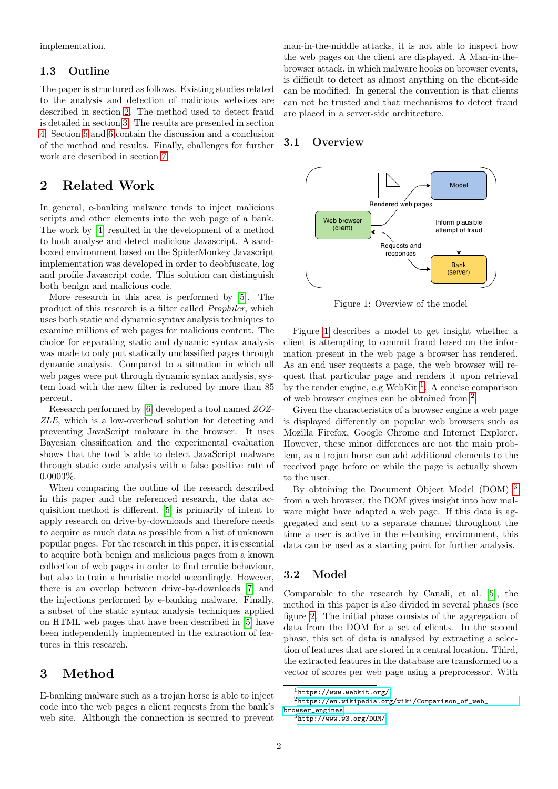implementation.

#### 1.3 Outline

The paper is structured as follows. Existing studies related to the analysis and detection of malicious websites are described in section [2.](#page-1-0) The method used to detect fraud is detailed in section [3.](#page-1-1) The results are presented in section [4.](#page-3-0) Section [5](#page-5-0) and [6](#page-5-1) contain the discussion and a conclusion of the method and results. Finally, challenges for further work are described in section [7.](#page-6-2)

## <span id="page-1-0"></span>2 Related Work

In general, e-banking malware tends to inject malicious scripts and other elements into the web page of a bank. The work by [\[4\]](#page-6-3) resulted in the development of a method to both analyse and detect malicious Javascript. A sandboxed environment based on the SpiderMonkey Javascript implementation was developed in order to deobfuscate, log and profile Javascript code. This solution can distinguish both benign and malicious code.

More research in this area is performed by [\[5\]](#page-6-4). The product of this research is a filter called Prophiler, which uses both static and dynamic syntax analysis techniques to examine millions of web pages for malicious content. The choice for separating static and dynamic syntax analysis was made to only put statically unclassified pages through dynamic analysis. Compared to a situation in which all web pages were put through dynamic syntax analysis, system load with the new filter is reduced by more than 85 percent.

Research performed by [\[6\]](#page-6-5) developed a tool named ZOZ-ZLE, which is a low-overhead solution for detecting and preventing JavaScript malware in the browser. It uses Bayesian classification and the experimental evaluation shows that the tool is able to detect JavaScript malware through static code analysis with a false positive rate of 0.0003%.

When comparing the outline of the research described in this paper and the referenced research, the data acquisition method is different. [\[5\]](#page-6-4) is primarily of intent to apply research on drive-by-downloads and therefore needs to acquire as much data as possible from a list of unknown popular pages. For the research in this paper, it is essential to acquire both benign and malicious pages from a known collection of web pages in order to find erratic behaviour, but also to train a heuristic model accordingly. However, there is an overlap between drive-by-downloads [\[7\]](#page-6-6) and the injections performed by e-banking malware. Finally, a subset of the static syntax analysis techniques applied on HTML web pages that have been described in [\[5\]](#page-6-4) have been independently implemented in the extraction of features in this research.

# <span id="page-1-1"></span>3 Method

E-banking malware such as a trojan horse is able to inject code into the web pages a client requests from the bank's web site. Although the connection is secured to prevent man-in-the-middle attacks, it is not able to inspect how the web pages on the client are displayed. A Man-in-thebrowser attack, in which malware hooks on browser events, is difficult to detect as almost anything on the client-side can be modified. In general the convention is that clients can not be trusted and that mechanisms to detect fraud are placed in a server-side architecture.

#### 3.1 Overview

<span id="page-1-2"></span>

Figure 1: Overview of the model

Figure [1](#page-1-2) describes a model to get insight whether a client is attempting to commit fraud based on the information present in the web page a browser has rendered. As an end user requests a page, the web browser will request that particular page and renders it upon retrieval by the render engine, e.g WebKit<sup>[1](#page-1-3)</sup>. A concise comparison of web browser engines can be obtained from [2](#page-1-4) .

Given the characteristics of a browser engine a web page is displayed differently on popular web browsers such as Mozilla Firefox, Google Chrome and Internet Explorer. However, these minor differences are not the main problem, as a trojan horse can add additional elements to the received page before or while the page is actually shown to the user.

By obtaining the Document Object Model (DOM) [3](#page-1-5) from a web browser, the DOM gives insight into how malware might have adapted a web page. If this data is aggregated and sent to a separate channel throughout the time a user is active in the e-banking environment, this data can be used as a starting point for further analysis.

#### 3.2 Model

Comparable to the research by Canali, et al. [\[5\]](#page-6-4), the method in this paper is also divided in several phases (see figure [2.](#page-2-1) The initial phase consists of the aggregation of data from the DOM for a set of clients. In the second phase, this set of data is analysed by extracting a selection of features that are stored in a central location. Third, the extracted features in the database are transformed to a vector of scores per web page using a preprocessor. With

<span id="page-1-4"></span><span id="page-1-3"></span> $1$ <https://www.webkit.org/>

<sup>2</sup>[https://en.wikipedia.org/wiki/Comparison\\_of\\_web\\_](https://en.wikipedia.org/wiki/Comparison_of_web_browser_engines) [browser\\_engines](https://en.wikipedia.org/wiki/Comparison_of_web_browser_engines)

<span id="page-1-5"></span> $3$ <http://www.w3.org/DOM/>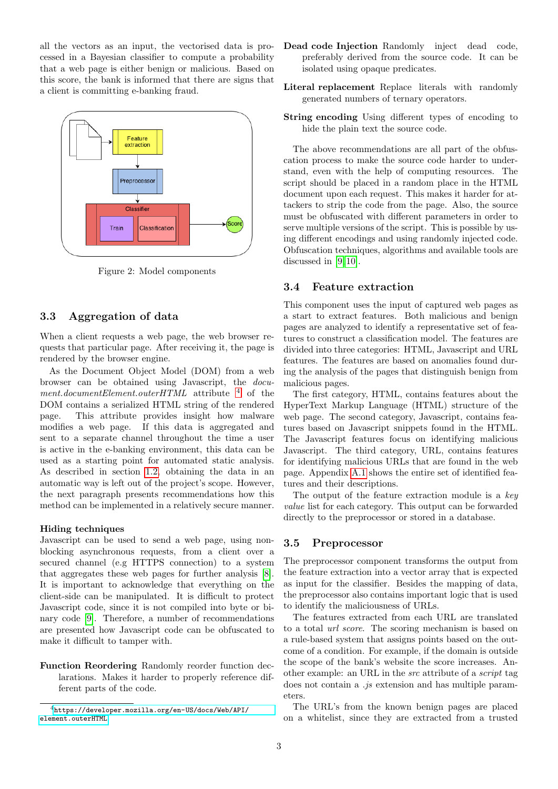all the vectors as an input, the vectorised data is processed in a Bayesian classifier to compute a probability that a web page is either benign or malicious. Based on this score, the bank is informed that there are signs that a client is committing e-banking fraud.

<span id="page-2-1"></span>

Figure 2: Model components

#### <span id="page-2-0"></span>3.3 Aggregation of data

When a client requests a web page, the web browser requests that particular page. After receiving it, the page is rendered by the browser engine.

As the Document Object Model (DOM) from a web browser can be obtained using Javascript, the document.documentElement.outerHTML attribute  $4$  of the DOM contains a serialized HTML string of the rendered page. This attribute provides insight how malware modifies a web page. If this data is aggregated and sent to a separate channel throughout the time a user is active in the e-banking environment, this data can be used as a starting point for automated static analysis. As described in section [1.2,](#page-0-0) obtaining the data in an automatic way is left out of the project's scope. However, the next paragraph presents recommendations how this method can be implemented in a relatively secure manner.

#### Hiding techniques

Javascript can be used to send a web page, using nonblocking asynchronous requests, from a client over a secured channel (e.g HTTPS connection) to a system that aggregates these web pages for further analysis [\[8\]](#page-6-7). It is important to acknowledge that everything on the client-side can be manipulated. It is difficult to protect Javascript code, since it is not compiled into byte or binary code [\[9\]](#page-6-8). Therefore, a number of recommendations are presented how Javascript code can be obfuscated to make it difficult to tamper with.

Function Reordering Randomly reorder function declarations. Makes it harder to properly reference different parts of the code.

- Dead code Injection Randomly inject dead code, preferably derived from the source code. It can be isolated using opaque predicates.
- Literal replacement Replace literals with randomly generated numbers of ternary operators.
- String encoding Using different types of encoding to hide the plain text the source code.

The above recommendations are all part of the obfuscation process to make the source code harder to understand, even with the help of computing resources. The script should be placed in a random place in the HTML document upon each request. This makes it harder for attackers to strip the code from the page. Also, the source must be obfuscated with different parameters in order to serve multiple versions of the script. This is possible by using different encodings and using randomly injected code. Obfuscation techniques, algorithms and available tools are discussed in [\[9,](#page-6-8) [10\]](#page-6-9).

#### <span id="page-2-3"></span>3.4 Feature extraction

This component uses the input of captured web pages as a start to extract features. Both malicious and benign pages are analyzed to identify a representative set of features to construct a classification model. The features are divided into three categories: HTML, Javascript and URL features. The features are based on anomalies found during the analysis of the pages that distinguish benign from malicious pages.

The first category, HTML, contains features about the HyperText Markup Language (HTML) structure of the web page. The second category, Javascript, contains features based on Javascript snippets found in the HTML. The Javascript features focus on identifying malicious Javascript. The third category, URL, contains features for identifying malicious URLs that are found in the web page. Appendix [A.1](#page-7-0) shows the entire set of identified features and their descriptions.

The output of the feature extraction module is a  $key$ value list for each category. This output can be forwarded directly to the preprocessor or stored in a database.

#### 3.5 Preprocessor

The preprocessor component transforms the output from the feature extraction into a vector array that is expected as input for the classifier. Besides the mapping of data, the preprocessor also contains important logic that is used to identify the maliciousness of URLs.

The features extracted from each URL are translated to a total url score. The scoring mechanism is based on a rule-based system that assigns points based on the outcome of a condition. For example, if the domain is outside the scope of the bank's website the score increases. Another example: an URL in the src attribute of a script tag does not contain a .js extension and has multiple parameters.

The URL's from the known benign pages are placed on a whitelist, since they are extracted from a trusted

<span id="page-2-2"></span><sup>4</sup>[https://developer.mozilla.org/en-US/docs/Web/API/](https://developer.mozilla.org/en-US/docs/Web/API/element.outerHTML) [element.outerHTML](https://developer.mozilla.org/en-US/docs/Web/API/element.outerHTML)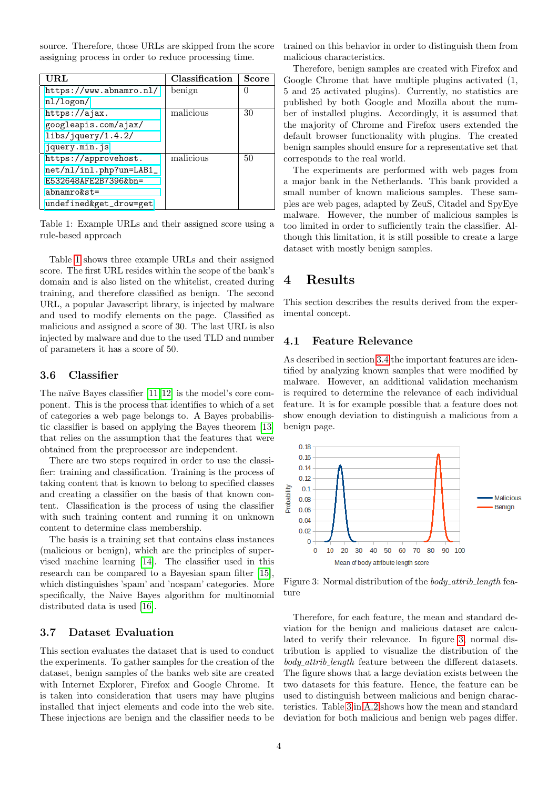source. Therefore, those URLs are skipped from the score assigning process in order to reduce processing time.

<span id="page-3-1"></span>

| URL                     | Classification | Score |
|-------------------------|----------------|-------|
| https://www.abnamro.nl/ | benign         |       |
| nl/logon/               |                |       |
| https://ajax.           | malicious      | 30    |
| googleapis.com/ajax/    |                |       |
| libs/jquery/1.4.2/      |                |       |
| jquery.min.js           |                |       |
| https://approvehost.    | malicious      | 50    |
| net/nl/inl.php?un=LAB1_ |                |       |
| E532648AFE2B7396&bn=    |                |       |
| $abnamrokst =$          |                |       |
| undefined&get_drow=get  |                |       |

Table 1: Example URLs and their assigned score using a rule-based approach

Table [1](#page-3-1) shows three example URLs and their assigned score. The first URL resides within the scope of the bank's domain and is also listed on the whitelist, created during training, and therefore classified as benign. The second URL, a popular Javascript library, is injected by malware and used to modify elements on the page. Classified as malicious and assigned a score of 30. The last URL is also injected by malware and due to the used TLD and number of parameters it has a score of 50.

#### 3.6 Classifier

The naïve Bayes classifier  $[11, 12]$  $[11, 12]$  is the model's core component. This is the process that identifies to which of a set of categories a web page belongs to. A Bayes probabilistic classifier is based on applying the Bayes theorem [\[13\]](#page-6-12) that relies on the assumption that the features that were obtained from the preprocessor are independent.

There are two steps required in order to use the classifier: training and classification. Training is the process of taking content that is known to belong to specified classes and creating a classifier on the basis of that known content. Classification is the process of using the classifier with such training content and running it on unknown content to determine class membership.

The basis is a training set that contains class instances (malicious or benign), which are the principles of supervised machine learning [\[14\]](#page-6-13). The classifier used in this research can be compared to a Bayesian spam filter [\[15\]](#page-6-14), which distinguishes 'spam' and 'nospam' categories. More specifically, the Naive Bayes algorithm for multinomial distributed data is used [\[16\]](#page-7-1).

#### <span id="page-3-3"></span>3.7 Dataset Evaluation

This section evaluates the dataset that is used to conduct the experiments. To gather samples for the creation of the dataset, benign samples of the banks web site are created with Internet Explorer, Firefox and Google Chrome. It is taken into consideration that users may have plugins installed that inject elements and code into the web site. These injections are benign and the classifier needs to be trained on this behavior in order to distinguish them from malicious characteristics.

Therefore, benign samples are created with Firefox and Google Chrome that have multiple plugins activated (1, 5 and 25 activated plugins). Currently, no statistics are published by both Google and Mozilla about the number of installed plugins. Accordingly, it is assumed that the majority of Chrome and Firefox users extended the default browser functionality with plugins. The created benign samples should ensure for a representative set that corresponds to the real world.

The experiments are performed with web pages from a major bank in the Netherlands. This bank provided a small number of known malicious samples. These samples are web pages, adapted by ZeuS, Citadel and SpyEye malware. However, the number of malicious samples is too limited in order to sufficiently train the classifier. Although this limitation, it is still possible to create a large dataset with mostly benign samples.

### <span id="page-3-0"></span>4 Results

This section describes the results derived from the experimental concept.

#### 4.1 Feature Relevance

As described in section [3.4](#page-2-3) the important features are identified by analyzing known samples that were modified by malware. However, an additional validation mechanism is required to determine the relevance of each individual feature. It is for example possible that a feature does not show enough deviation to distinguish a malicious from a benign page.

<span id="page-3-2"></span>

Figure 3: Normal distribution of the body\_attrib\_length feature

Therefore, for each feature, the mean and standard deviation for the benign and malicious dataset are calculated to verify their relevance. In figure [3,](#page-3-2) normal distribution is applied to visualize the distribution of the body attrib length feature between the different datasets. The figure shows that a large deviation exists between the two datasets for this feature. Hence, the feature can be used to distinguish between malicious and benign characteristics. Table [3](#page-8-0) in [A.2](#page-7-2) shows how the mean and standard deviation for both malicious and benign web pages differ.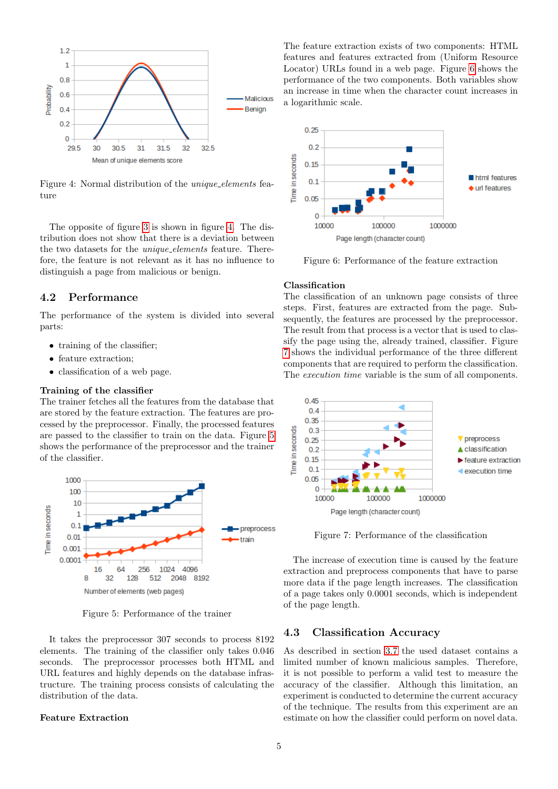<span id="page-4-0"></span>

Figure 4: Normal distribution of the *unique elements* feature

The opposite of figure [3](#page-3-2) is shown in figure [4.](#page-4-0) The distribution does not show that there is a deviation between the two datasets for the unique elements feature. Therefore, the feature is not relevant as it has no influence to distinguish a page from malicious or benign.

#### <span id="page-4-5"></span>4.2 Performance

The performance of the system is divided into several parts:

- training of the classifier;
- feature extraction;
- classification of a web page.

#### Training of the classifier

The trainer fetches all the features from the database that are stored by the feature extraction. The features are processed by the preprocessor. Finally, the processed features are passed to the classifier to train on the data. Figure [5](#page-4-1) shows the performance of the preprocessor and the trainer of the classifier.

<span id="page-4-1"></span>

Figure 5: Performance of the trainer

It takes the preprocessor 307 seconds to process 8192 elements. The training of the classifier only takes 0.046 seconds. The preprocessor processes both HTML and URL features and highly depends on the database infrastructure. The training process consists of calculating the distribution of the data.

#### Feature Extraction

The feature extraction exists of two components: HTML features and features extracted from (Uniform Resource Locator) URLs found in a web page. Figure [6](#page-4-2) shows the performance of the two components. Both variables show an increase in time when the character count increases in a logarithmic scale.

<span id="page-4-2"></span>

Figure 6: Performance of the feature extraction

#### Classification

The classification of an unknown page consists of three steps. First, features are extracted from the page. Subsequently, the features are processed by the preprocessor. The result from that process is a vector that is used to classify the page using the, already trained, classifier. Figure [7](#page-4-3) shows the individual performance of the three different components that are required to perform the classification. The *execution time* variable is the sum of all components.

<span id="page-4-3"></span>

Figure 7: Performance of the classification

The increase of execution time is caused by the feature extraction and preprocess components that have to parse more data if the page length increases. The classification of a page takes only 0.0001 seconds, which is independent of the page length.

#### <span id="page-4-4"></span>4.3 Classification Accuracy

As described in section [3.7](#page-3-3) the used dataset contains a limited number of known malicious samples. Therefore, it is not possible to perform a valid test to measure the accuracy of the classifier. Although this limitation, an experiment is conducted to determine the current accuracy of the technique. The results from this experiment are an estimate on how the classifier could perform on novel data.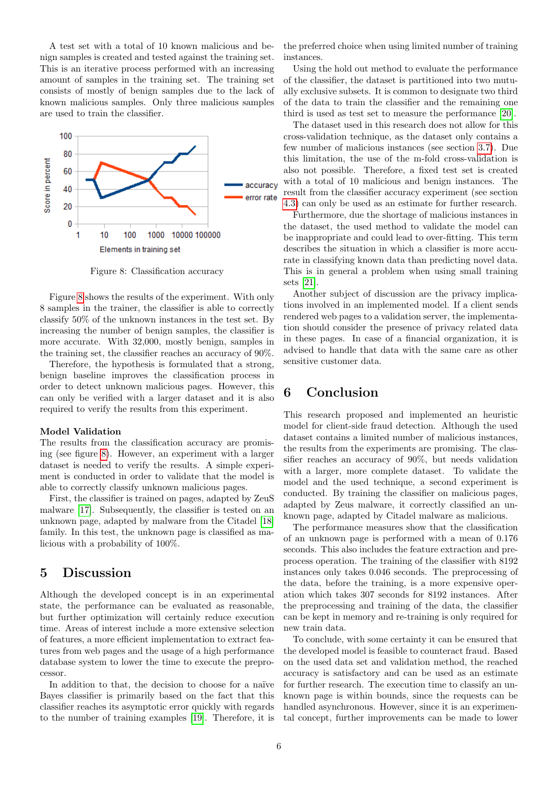A test set with a total of 10 known malicious and benign samples is created and tested against the training set. This is an iterative process performed with an increasing amount of samples in the training set. The training set consists of mostly of benign samples due to the lack of known malicious samples. Only three malicious samples are used to train the classifier.

<span id="page-5-2"></span>

Figure 8: Classification accuracy

Figure [8](#page-5-2) shows the results of the experiment. With only 8 samples in the trainer, the classifier is able to correctly classify 50% of the unknown instances in the test set. By increasing the number of benign samples, the classifier is more accurate. With 32,000, mostly benign, samples in the training set, the classifier reaches an accuracy of 90%.

Therefore, the hypothesis is formulated that a strong, benign baseline improves the classification process in order to detect unknown malicious pages. However, this can only be verified with a larger dataset and it is also required to verify the results from this experiment.

#### Model Validation

The results from the classification accuracy are promising (see figure [8\)](#page-5-2). However, an experiment with a larger dataset is needed to verify the results. A simple experiment is conducted in order to validate that the model is able to correctly classify unknown malicious pages.

First, the classifier is trained on pages, adapted by ZeuS malware [\[17\]](#page-7-3). Subsequently, the classifier is tested on an unknown page, adapted by malware from the Citadel [\[18\]](#page-7-4) family. In this test, the unknown page is classified as malicious with a probability of 100%.

### <span id="page-5-0"></span>5 Discussion

Although the developed concept is in an experimental state, the performance can be evaluated as reasonable, but further optimization will certainly reduce execution time. Areas of interest include a more extensive selection of features, a more efficient implementation to extract features from web pages and the usage of a high performance database system to lower the time to execute the preprocessor.

In addition to that, the decision to choose for a naïve Bayes classifier is primarily based on the fact that this classifier reaches its asymptotic error quickly with regards to the number of training examples [\[19\]](#page-7-5). Therefore, it is the preferred choice when using limited number of training instances.

Using the hold out method to evaluate the performance of the classifier, the dataset is partitioned into two mutually exclusive subsets. It is common to designate two third of the data to train the classifier and the remaining one third is used as test set to measure the performance [\[20\]](#page-7-6).

The dataset used in this research does not allow for this cross-validation technique, as the dataset only contains a few number of malicious instances (see section [3.7\)](#page-3-3). Due this limitation, the use of the m-fold cross-validation is also not possible. Therefore, a fixed test set is created with a total of 10 malicious and benign instances. The result from the classifier accuracy experiment (see section [4.3\)](#page-4-4) can only be used as an estimate for further research.

Furthermore, due the shortage of malicious instances in the dataset, the used method to validate the model can be inappropriate and could lead to over-fitting. This term describes the situation in which a classifier is more accurate in classifying known data than predicting novel data. This is in general a problem when using small training sets [\[21\]](#page-7-7).

Another subject of discussion are the privacy implications involved in an implemented model. If a client sends rendered web pages to a validation server, the implementation should consider the presence of privacy related data in these pages. In case of a financial organization, it is advised to handle that data with the same care as other sensitive customer data.

# <span id="page-5-1"></span>6 Conclusion

This research proposed and implemented an heuristic model for client-side fraud detection. Although the used dataset contains a limited number of malicious instances, the results from the experiments are promising. The classifier reaches an accuracy of 90%, but needs validation with a larger, more complete dataset. To validate the model and the used technique, a second experiment is conducted. By training the classifier on malicious pages, adapted by Zeus malware, it correctly classified an unknown page, adapted by Citadel malware as malicious.

The performance measures show that the classification of an unknown page is performed with a mean of 0.176 seconds. This also includes the feature extraction and preprocess operation. The training of the classifier with 8192 instances only takes 0.046 seconds. The preprocessing of the data, before the training, is a more expensive operation which takes 307 seconds for 8192 instances. After the preprocessing and training of the data, the classifier can be kept in memory and re-training is only required for new train data.

To conclude, with some certainty it can be ensured that the developed model is feasible to counteract fraud. Based on the used data set and validation method, the reached accuracy is satisfactory and can be used as an estimate for further research. The execution time to classify an unknown page is within bounds, since the requests can be handled asynchronous. However, since it is an experimental concept, further improvements can be made to lower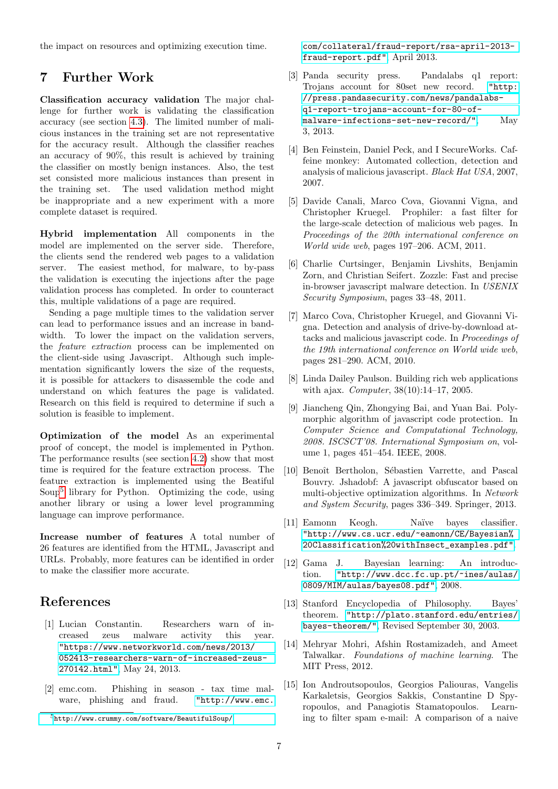the impact on resources and optimizing execution time.

## <span id="page-6-2"></span>7 Further Work

Classification accuracy validation The major challenge for further work is validating the classification accuracy (see section [4.3\)](#page-4-4). The limited number of malicious instances in the training set are not representative for the accuracy result. Although the classifier reaches an accuracy of 90%, this result is achieved by training the classifier on mostly benign instances. Also, the test set consisted more malicious instances than present in the training set. The used validation method might be inappropriate and a new experiment with a more complete dataset is required.

Hybrid implementation All components in the model are implemented on the server side. Therefore, the clients send the rendered web pages to a validation server. The easiest method, for malware, to by-pass the validation is executing the injections after the page validation process has completed. In order to counteract this, multiple validations of a page are required.

Sending a page multiple times to the validation server can lead to performance issues and an increase in bandwidth. To lower the impact on the validation servers, the feature extraction process can be implemented on the client-side using Javascript. Although such implementation significantly lowers the size of the requests, it is possible for attackers to disassemble the code and understand on which features the page is validated. Research on this field is required to determine if such a solution is feasible to implement.

Optimization of the model As an experimental proof of concept, the model is implemented in Python. The performance results (see section [4.2\)](#page-4-5) show that most time is required for the feature extraction process. The feature extraction is implemented using the Beatiful Soup<sup>[5](#page-6-15)</sup> library for Python. Optimizing the code, using another library or using a lower level programming language can improve performance.

Increase number of features A total number of 26 features are identified from the HTML, Javascript and URLs. Probably, more features can be identified in order to make the classifier more accurate.

### References

- <span id="page-6-0"></span>[1] Lucian Constantin. Researchers warn of increased zeus malware activity this year. ["https://www.networkworld.com/news/2013/]("https://www.networkworld.com/news/2013/052413-researchers-warn-of-increased-zeus-270142.html") [052413-researchers-warn-of-increased-zeus-]("https://www.networkworld.com/news/2013/052413-researchers-warn-of-increased-zeus-270142.html")[270142.html"]("https://www.networkworld.com/news/2013/052413-researchers-warn-of-increased-zeus-270142.html"), May 24, 2013.
- [2] emc.com. Phishing in season tax time malware, phishing and fraud. ["http://www.emc.]("http://www.emc.com/collateral/fraud-report/rsa-april-2013-fraud-report.pdf")

[com/collateral/fraud-report/rsa-april-2013]("http://www.emc.com/collateral/fraud-report/rsa-april-2013-fraud-report.pdf") [fraud-report.pdf"]("http://www.emc.com/collateral/fraud-report/rsa-april-2013-fraud-report.pdf"), April 2013.

- <span id="page-6-1"></span>[3] Panda security press. Pandalabs q1 report: Trojans account for 80set new record. ["http:]("http://press.pandasecurity.com/news/pandalabs-q1-report-trojans-account-for-80-of-malware-infections-set-new-record/") [//press.pandasecurity.com/news/pandalabs]("http://press.pandasecurity.com/news/pandalabs-q1-report-trojans-account-for-80-of-malware-infections-set-new-record/")[q1-report-trojans-account-for-80-of]("http://press.pandasecurity.com/news/pandalabs-q1-report-trojans-account-for-80-of-malware-infections-set-new-record/")[malware-infections-set-new-record/"]("http://press.pandasecurity.com/news/pandalabs-q1-report-trojans-account-for-80-of-malware-infections-set-new-record/"), May 3, 2013.
- <span id="page-6-3"></span>[4] Ben Feinstein, Daniel Peck, and I SecureWorks. Caffeine monkey: Automated collection, detection and analysis of malicious javascript. Black Hat USA, 2007, 2007.
- <span id="page-6-4"></span>[5] Davide Canali, Marco Cova, Giovanni Vigna, and Christopher Kruegel. Prophiler: a fast filter for the large-scale detection of malicious web pages. In Proceedings of the 20th international conference on World wide web, pages 197–206. ACM, 2011.
- <span id="page-6-5"></span>[6] Charlie Curtsinger, Benjamin Livshits, Benjamin Zorn, and Christian Seifert. Zozzle: Fast and precise in-browser javascript malware detection. In USENIX Security Symposium, pages 33–48, 2011.
- <span id="page-6-6"></span>[7] Marco Cova, Christopher Kruegel, and Giovanni Vigna. Detection and analysis of drive-by-download attacks and malicious javascript code. In Proceedings of the 19th international conference on World wide web, pages 281–290. ACM, 2010.
- <span id="page-6-7"></span>[8] Linda Dailey Paulson. Building rich web applications with ajax. Computer, 38(10):14–17, 2005.
- <span id="page-6-8"></span>[9] Jiancheng Qin, Zhongying Bai, and Yuan Bai. Polymorphic algorithm of javascript code protection. In Computer Science and Computational Technology, 2008. ISCSCT'08. International Symposium on, volume 1, pages 451–454. IEEE, 2008.
- <span id="page-6-9"></span>[10] Benoît Bertholon, Sébastien Varrette, and Pascal Bouvry. Jshadobf: A javascript obfuscator based on multi-objective optimization algorithms. In Network and System Security, pages 336–349. Springer, 2013.
- <span id="page-6-10"></span>[11] Eamonn Keogh. Na¨ıve bayes classifier. ["http://www.cs.ucr.edu/~eamonn/CE/Bayesian%]("http://www.cs.ucr.edu/~eamonn/CE/Bayesian%20Classification%20withInsect_examples.pdf") [20Classification%20withInsect\\_examples.pdf"]("http://www.cs.ucr.edu/~eamonn/CE/Bayesian%20Classification%20withInsect_examples.pdf").
- <span id="page-6-11"></span>[12] Gama J. Bayesian learning: An introduction. ["http://www.dcc.fc.up.pt/~ines/aulas/]("http://www.dcc.fc.up.pt/~ines/aulas/0809/MIM/aulas/bayes08.pdf") [0809/MIM/aulas/bayes08.pdf"]("http://www.dcc.fc.up.pt/~ines/aulas/0809/MIM/aulas/bayes08.pdf"), 2008.
- <span id="page-6-12"></span>[13] Stanford Encyclopedia of Philosophy. Bayes' theorem. ["http://plato.stanford.edu/entries/]("http://plato.stanford.edu/entries/bayes-theorem/") [bayes-theorem/"]("http://plato.stanford.edu/entries/bayes-theorem/"), Revised September 30, 2003.
- <span id="page-6-13"></span>[14] Mehryar Mohri, Afshin Rostamizadeh, and Ameet Talwalkar. Foundations of machine learning. The MIT Press, 2012.
- <span id="page-6-14"></span>[15] Ion Androutsopoulos, Georgios Paliouras, Vangelis Karkaletsis, Georgios Sakkis, Constantine D Spyropoulos, and Panagiotis Stamatopoulos. Learning to filter spam e-mail: A comparison of a naive

<span id="page-6-15"></span><sup>5</sup>[http://www.crummy.com/software/BeautifulSoup/]("http://www.emc.com/collateral/fraud-report/rsa-april-2013-fraud-report.pdf")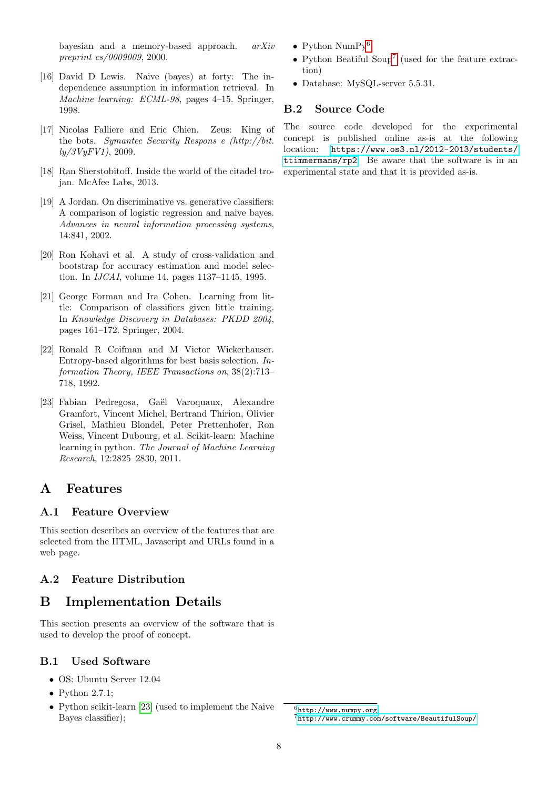bayesian and a memory-based approach. arXiv preprint cs/0009009, 2000.

- <span id="page-7-1"></span>[16] David D Lewis. Naive (bayes) at forty: The independence assumption in information retrieval. In Machine learning: ECML-98, pages 4-15. Springer, 1998.
- <span id="page-7-3"></span>[17] Nicolas Falliere and Eric Chien. Zeus: King of the bots. Symantec Security Respons e (http://bit.  $\frac{ly}{3}VyFV1$ , 2009.
- <span id="page-7-4"></span>[18] Ran Sherstobitoff. Inside the world of the citadel trojan. McAfee Labs, 2013.
- <span id="page-7-5"></span>[19] A Jordan. On discriminative vs. generative classifiers: A comparison of logistic regression and naive bayes. Advances in neural information processing systems, 14:841, 2002.
- <span id="page-7-6"></span>[20] Ron Kohavi et al. A study of cross-validation and bootstrap for accuracy estimation and model selection. In IJCAI, volume 14, pages 1137–1145, 1995.
- <span id="page-7-7"></span>[21] George Forman and Ira Cohen. Learning from little: Comparison of classifiers given little training. In Knowledge Discovery in Databases: PKDD 2004, pages 161–172. Springer, 2004.
- <span id="page-7-11"></span>[22] Ronald R Coifman and M Victor Wickerhauser. Entropy-based algorithms for best basis selection. Information Theory, IEEE Transactions on, 38(2):713– 718, 1992.
- <span id="page-7-8"></span>[23] Fabian Pedregosa, Gaël Varoquaux, Alexandre Gramfort, Vincent Michel, Bertrand Thirion, Olivier Grisel, Mathieu Blondel, Peter Prettenhofer, Ron Weiss, Vincent Dubourg, et al. Scikit-learn: Machine learning in python. The Journal of Machine Learning Research, 12:2825–2830, 2011.

# A Features

### <span id="page-7-0"></span>A.1 Feature Overview

This section describes an overview of the features that are selected from the HTML, Javascript and URLs found in a web page.

# <span id="page-7-2"></span>A.2 Feature Distribution

# B Implementation Details

This section presents an overview of the software that is used to develop the proof of concept.

### B.1 Used Software

- OS: Ubuntu Server 12.04
- Python 2.7.1;
- Python scikit-learn [\[23\]](#page-7-8) (used to implement the Naive Bayes classifier);
- Python  $\text{NumPy}^6$  $\text{NumPy}^6$ ;
- Python Beatiful Soup[7](#page-7-10) (used for the feature extraction)
- Database: MySQL-server 5.5.31.

# B.2 Source Code

The source code developed for the experimental concept is published online as-is at the following location: [https://www.os3.nl/2012-2013/students/](https://www.os3. nl/2012-2013/students/ttimmermans/rp2) [ttimmermans/rp2](https://www.os3. nl/2012-2013/students/ttimmermans/rp2). Be aware that the software is in an experimental state and that it is provided as-is.

<span id="page-7-10"></span><span id="page-7-9"></span><sup>6</sup><http://www.numpy.org> <sup>7</sup><http://www.crummy.com/software/BeautifulSoup/>